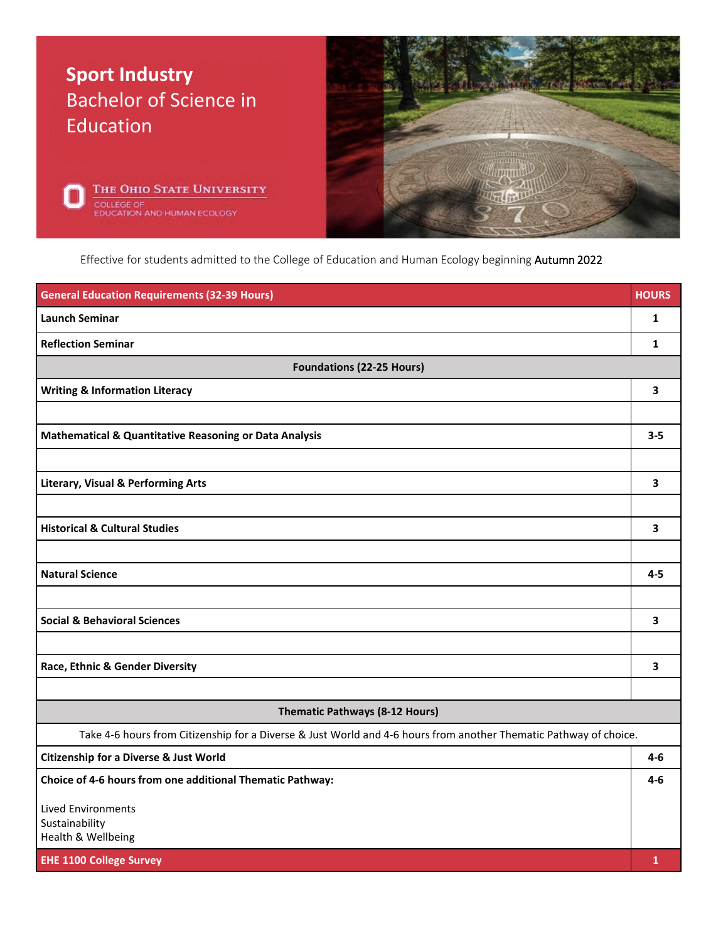

Effective for students admitted to the College of Education and Human Ecology beginning Autumn 2022

| <b>Launch Seminar</b><br>1<br><b>Reflection Seminar</b><br>1<br><b>Foundations (22-25 Hours)</b><br>3<br><b>Writing &amp; Information Literacy</b> |         |
|----------------------------------------------------------------------------------------------------------------------------------------------------|---------|
|                                                                                                                                                    |         |
|                                                                                                                                                    |         |
|                                                                                                                                                    |         |
|                                                                                                                                                    |         |
|                                                                                                                                                    |         |
| <b>Mathematical &amp; Quantitative Reasoning or Data Analysis</b>                                                                                  | $3 - 5$ |
|                                                                                                                                                    |         |
| <b>Literary, Visual &amp; Performing Arts</b><br>3                                                                                                 |         |
|                                                                                                                                                    |         |
| <b>Historical &amp; Cultural Studies</b><br>3                                                                                                      |         |
|                                                                                                                                                    |         |
| <b>Natural Science</b>                                                                                                                             | $4 - 5$ |
|                                                                                                                                                    |         |
| <b>Social &amp; Behavioral Sciences</b><br>3                                                                                                       |         |
|                                                                                                                                                    |         |
| Race, Ethnic & Gender Diversity<br>3                                                                                                               |         |
|                                                                                                                                                    |         |
| <b>Thematic Pathways (8-12 Hours)</b>                                                                                                              |         |
| Take 4-6 hours from Citizenship for a Diverse & Just World and 4-6 hours from another Thematic Pathway of choice.                                  |         |
| <b>Citizenship for a Diverse &amp; Just World</b>                                                                                                  | $4-6$   |
| Choice of 4-6 hours from one additional Thematic Pathway:                                                                                          | 4-6     |
| <b>Lived Environments</b>                                                                                                                          |         |
| Sustainability<br>Health & Wellbeing                                                                                                               |         |
| <b>EHE 1100 College Survey</b><br>$\mathbf{1}$                                                                                                     |         |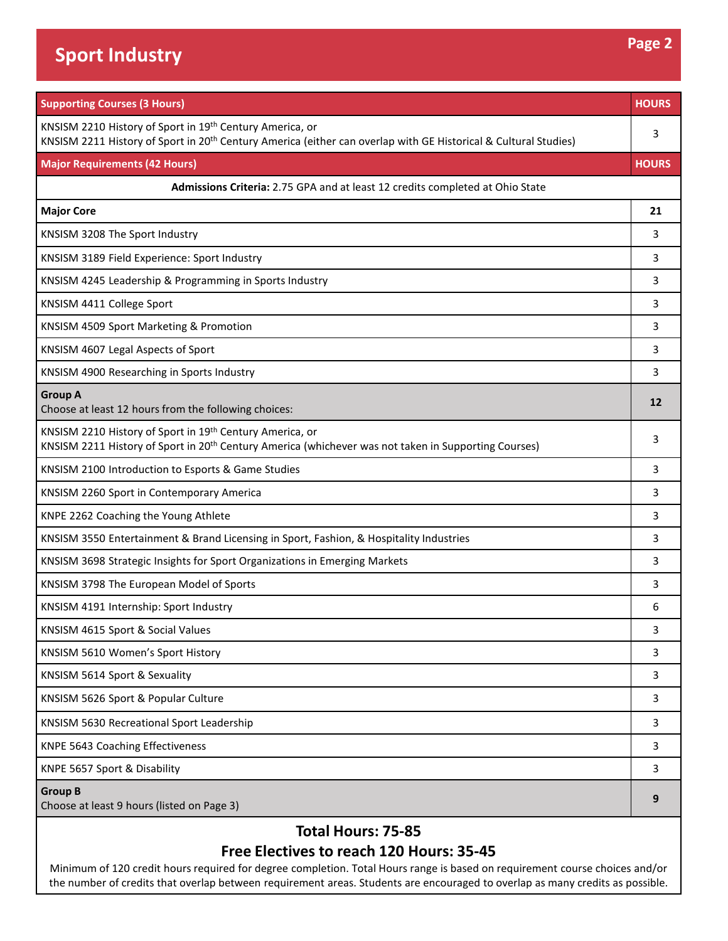| <b>Supporting Courses (3 Hours)</b>                                                                                                                                                     | <b>HOURS</b> |  |
|-----------------------------------------------------------------------------------------------------------------------------------------------------------------------------------------|--------------|--|
| KNSISM 2210 History of Sport in 19th Century America, or<br>KNSISM 2211 History of Sport in 20 <sup>th</sup> Century America (either can overlap with GE Historical & Cultural Studies) | 3            |  |
| <b>Major Requirements (42 Hours)</b>                                                                                                                                                    | <b>HOURS</b> |  |
| Admissions Criteria: 2.75 GPA and at least 12 credits completed at Ohio State                                                                                                           |              |  |
| <b>Major Core</b>                                                                                                                                                                       | 21           |  |
| KNSISM 3208 The Sport Industry                                                                                                                                                          | 3            |  |
| KNSISM 3189 Field Experience: Sport Industry                                                                                                                                            | 3            |  |
| KNSISM 4245 Leadership & Programming in Sports Industry                                                                                                                                 | 3            |  |
| KNSISM 4411 College Sport                                                                                                                                                               | 3            |  |
| KNSISM 4509 Sport Marketing & Promotion                                                                                                                                                 | 3            |  |
| KNSISM 4607 Legal Aspects of Sport                                                                                                                                                      | 3            |  |
| KNSISM 4900 Researching in Sports Industry                                                                                                                                              | 3            |  |
| <b>Group A</b><br>Choose at least 12 hours from the following choices:                                                                                                                  | 12           |  |
| KNSISM 2210 History of Sport in 19th Century America, or<br>KNSISM 2211 History of Sport in 20 <sup>th</sup> Century America (whichever was not taken in Supporting Courses)            | 3            |  |
| KNSISM 2100 Introduction to Esports & Game Studies                                                                                                                                      | 3            |  |
| KNSISM 2260 Sport in Contemporary America                                                                                                                                               | 3            |  |
| KNPE 2262 Coaching the Young Athlete                                                                                                                                                    | 3            |  |
| KNSISM 3550 Entertainment & Brand Licensing in Sport, Fashion, & Hospitality Industries                                                                                                 | 3            |  |
| KNSISM 3698 Strategic Insights for Sport Organizations in Emerging Markets                                                                                                              | 3            |  |
| KNSISM 3798 The European Model of Sports                                                                                                                                                | 3            |  |
| KNSISM 4191 Internship: Sport Industry                                                                                                                                                  | 6            |  |
| KNSISM 4615 Sport & Social Values                                                                                                                                                       | 3            |  |
| KNSISM 5610 Women's Sport History                                                                                                                                                       | 3            |  |
| KNSISM 5614 Sport & Sexuality                                                                                                                                                           | 3            |  |
| KNSISM 5626 Sport & Popular Culture                                                                                                                                                     | 3            |  |
| KNSISM 5630 Recreational Sport Leadership                                                                                                                                               | 3            |  |
| KNPE 5643 Coaching Effectiveness                                                                                                                                                        | 3            |  |
| KNPE 5657 Sport & Disability                                                                                                                                                            | 3            |  |
| <b>Group B</b><br>Choose at least 9 hours (listed on Page 3)                                                                                                                            | 9            |  |

## **Total Hours: 75-85**

## **Free Electives to reach 120 Hours: 35-45**

Minimum of 120 credit hours required for degree completion. Total Hours range is based on requirement course choices and/or the number of credits that overlap between requirement areas. Students are encouraged to overlap as many credits as possible.